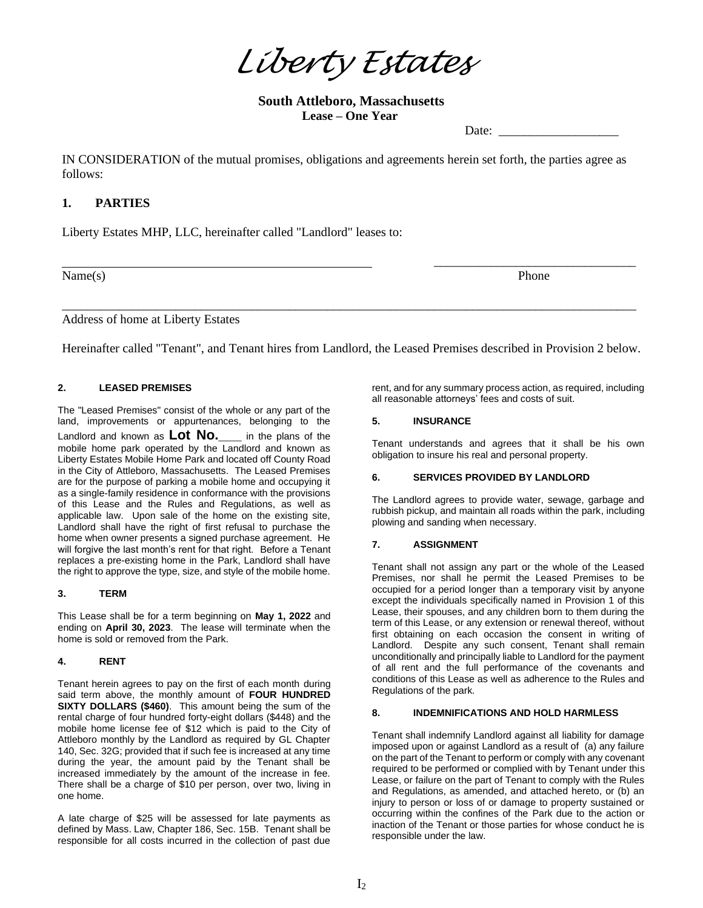*Liberty Estates*

# **South Attleboro, Massachusetts Lease – One Year**

Date:

IN CONSIDERATION of the mutual promises, obligations and agreements herein set forth, the parties agree as follows:

# **1. PARTIES**

Liberty Estates MHP, LLC, hereinafter called "Landlord" leases to:

Name(s) Phone

\_\_\_\_\_\_\_\_\_\_\_\_\_\_\_\_\_\_\_\_\_\_\_\_\_\_\_\_\_\_\_\_

Address of home at Liberty Estates

Hereinafter called "Tenant", and Tenant hires from Landlord, the Leased Premises described in Provision 2 below.

\_\_\_\_\_\_\_\_\_\_\_\_\_\_\_\_\_\_\_\_\_\_\_\_\_\_\_\_\_\_\_\_\_\_\_\_\_\_\_\_\_\_\_\_\_\_\_\_\_\_\_\_\_\_\_\_\_\_\_\_\_\_\_\_\_\_\_\_\_\_\_\_\_\_\_\_\_\_\_\_\_\_\_\_\_\_\_\_\_\_\_

### **2. LEASED PREMISES**

The "Leased Premises" consist of the whole or any part of the land, improvements or appurtenances, belonging to the Landlord and known as **Lot No.\_\_\_** in the plans of the mobile home park operated by the Landlord and known as Liberty Estates Mobile Home Park and located off County Road in the City of Attleboro, Massachusetts. The Leased Premises are for the purpose of parking a mobile home and occupying it as a single-family residence in conformance with the provisions of this Lease and the Rules and Regulations, as well as applicable law. Upon sale of the home on the existing site, Landlord shall have the right of first refusal to purchase the home when owner presents a signed purchase agreement. He will forgive the last month's rent for that right. Before a Tenant replaces a pre-existing home in the Park, Landlord shall have the right to approve the type, size, and style of the mobile home.

### **3. TERM**

This Lease shall be for a term beginning on **May 1, 2022** and ending on **April 30, 2023**. The lease will terminate when the home is sold or removed from the Park.

### **4. RENT**

Tenant herein agrees to pay on the first of each month during said term above, the monthly amount of **FOUR HUNDRED SIXTY DOLLARS (\$460)**. This amount being the sum of the rental charge of four hundred forty-eight dollars (\$448) and the mobile home license fee of \$12 which is paid to the City of Attleboro monthly by the Landlord as required by GL Chapter 140, Sec. 32G; provided that if such fee is increased at any time during the year, the amount paid by the Tenant shall be increased immediately by the amount of the increase in fee. There shall be a charge of \$10 per person, over two, living in one home.

A late charge of \$25 will be assessed for late payments as defined by Mass. Law, Chapter 186, Sec. 15B. Tenant shall be responsible for all costs incurred in the collection of past due rent, and for any summary process action, as required, including all reasonable attorneys' fees and costs of suit.

#### **5. INSURANCE**

Tenant understands and agrees that it shall be his own obligation to insure his real and personal property.

#### **6. SERVICES PROVIDED BY LANDLORD**

The Landlord agrees to provide water, sewage, garbage and rubbish pickup, and maintain all roads within the park, including plowing and sanding when necessary.

### **7. ASSIGNMENT**

Tenant shall not assign any part or the whole of the Leased Premises, nor shall he permit the Leased Premises to be occupied for a period longer than a temporary visit by anyone except the individuals specifically named in Provision 1 of this Lease, their spouses, and any children born to them during the term of this Lease, or any extension or renewal thereof, without first obtaining on each occasion the consent in writing of Landlord. Despite any such consent, Tenant shall remain unconditionally and principally liable to Landlord for the payment of all rent and the full performance of the covenants and conditions of this Lease as well as adherence to the Rules and Regulations of the park.

### **8. INDEMNIFICATIONS AND HOLD HARMLESS**

Tenant shall indemnify Landlord against all liability for damage imposed upon or against Landlord as a result of (a) any failure on the part of the Tenant to perform or comply with any covenant required to be performed or complied with by Tenant under this Lease, or failure on the part of Tenant to comply with the Rules and Regulations, as amended, and attached hereto, or (b) an injury to person or loss of or damage to property sustained or occurring within the confines of the Park due to the action or inaction of the Tenant or those parties for whose conduct he is responsible under the law.